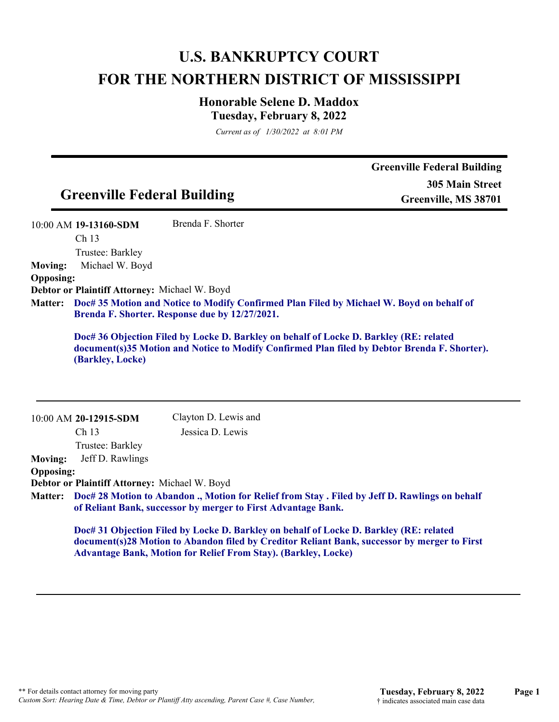# **U.S. BANKRUPTCY COURT FOR THE NORTHERN DISTRICT OF MISSISSIPPI**

## **Honorable Selene D. Maddox Tuesday, February 8, 2022**

*Current as of 1/30/2022 at 8:01 PM*

|                  |                                               |                                                                       |                                                                                                                                                                                        | <b>Greenville Federal Building</b> |
|------------------|-----------------------------------------------|-----------------------------------------------------------------------|----------------------------------------------------------------------------------------------------------------------------------------------------------------------------------------|------------------------------------|
|                  |                                               |                                                                       |                                                                                                                                                                                        | <b>305 Main Street</b>             |
|                  | <b>Greenville Federal Building</b>            |                                                                       |                                                                                                                                                                                        | Greenville, MS 38701               |
|                  | 10:00 AM 19-13160-SDM                         | Brenda F. Shorter                                                     |                                                                                                                                                                                        |                                    |
|                  | Ch 13                                         |                                                                       |                                                                                                                                                                                        |                                    |
|                  | Trustee: Barkley                              |                                                                       |                                                                                                                                                                                        |                                    |
| <b>Moving:</b>   | Michael W. Boyd                               |                                                                       |                                                                                                                                                                                        |                                    |
| <b>Opposing:</b> |                                               |                                                                       |                                                                                                                                                                                        |                                    |
|                  | Debtor or Plaintiff Attorney: Michael W. Boyd |                                                                       |                                                                                                                                                                                        |                                    |
| <b>Matter:</b>   |                                               | Brenda F. Shorter. Response due by 12/27/2021.                        | Doc# 35 Motion and Notice to Modify Confirmed Plan Filed by Michael W. Boyd on behalf of                                                                                               |                                    |
|                  | (Barkley, Locke)                              |                                                                       | Doc# 36 Objection Filed by Locke D. Barkley on behalf of Locke D. Barkley (RE: related<br>document(s)35 Motion and Notice to Modify Confirmed Plan filed by Debtor Brenda F. Shorter). |                                    |
|                  | 10:00 AM 20-12915-SDM                         | Clayton D. Lewis and                                                  |                                                                                                                                                                                        |                                    |
|                  | Ch <sub>13</sub>                              | Jessica D. Lewis                                                      |                                                                                                                                                                                        |                                    |
|                  | Trustee: Barkley                              |                                                                       |                                                                                                                                                                                        |                                    |
| <b>Moving:</b>   | Jeff D. Rawlings                              |                                                                       |                                                                                                                                                                                        |                                    |
| <b>Opposing:</b> |                                               |                                                                       |                                                                                                                                                                                        |                                    |
|                  | Debtor or Plaintiff Attorney: Michael W. Boyd |                                                                       |                                                                                                                                                                                        |                                    |
| <b>Matter:</b>   |                                               | of Reliant Bank, successor by merger to First Advantage Bank.         | Doc# 28 Motion to Abandon ., Motion for Relief from Stay . Filed by Jeff D. Rawlings on behalf                                                                                         |                                    |
|                  |                                               | <b>Advantage Bank, Motion for Relief From Stay). (Barkley, Locke)</b> | Doc# 31 Objection Filed by Locke D. Barkley on behalf of Locke D. Barkley (RE: related<br>document(s)28 Motion to Abandon filed by Creditor Reliant Bank, successor by merger to First |                                    |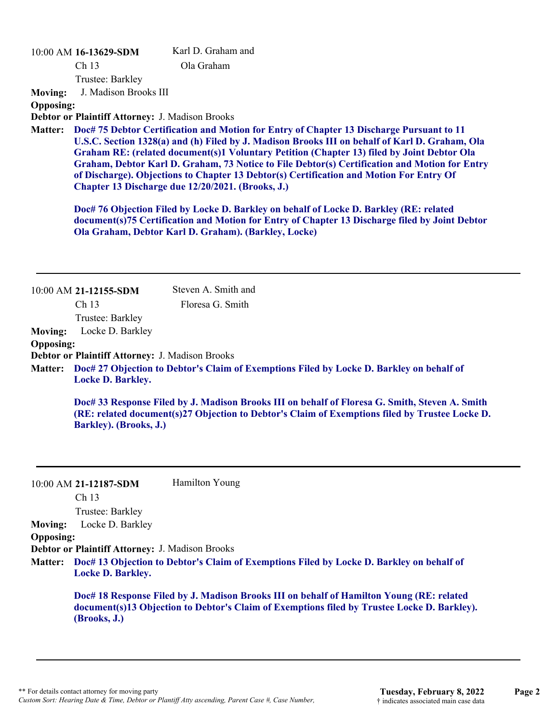#### 10:00 AM **16-13629-SDM**

Karl D. Graham and Ola Graham

Ch 13 Trustee: Barkley

**Moving:** J. Madison Brooks III

**Opposing:**

### **Debtor or Plaintiff Attorney:** J. Madison Brooks

**Doc# 75 Debtor Certification and Motion for Entry of Chapter 13 Discharge Pursuant to 11 Matter: U.S.C. Section 1328(a) and (h) Filed by J. Madison Brooks III on behalf of Karl D. Graham, Ola Graham RE: (related document(s)1 Voluntary Petition (Chapter 13) filed by Joint Debtor Ola Graham, Debtor Karl D. Graham, 73 Notice to File Debtor(s) Certification and Motion for Entry of Discharge). Objections to Chapter 13 Debtor(s) Certification and Motion For Entry Of Chapter 13 Discharge due 12/20/2021. (Brooks, J.)**

**Doc# 76 Objection Filed by Locke D. Barkley on behalf of Locke D. Barkley (RE: related document(s)75 Certification and Motion for Entry of Chapter 13 Discharge filed by Joint Debtor Ola Graham, Debtor Karl D. Graham). (Barkley, Locke)**

|                  | 10:00 AM 21-12155-SDM                                                                                                                                                                                                      | Steven A. Smith and                                                                              |  |
|------------------|----------------------------------------------------------------------------------------------------------------------------------------------------------------------------------------------------------------------------|--------------------------------------------------------------------------------------------------|--|
|                  | Ch <sub>13</sub>                                                                                                                                                                                                           | Floresa G. Smith                                                                                 |  |
|                  | Trustee: Barkley                                                                                                                                                                                                           |                                                                                                  |  |
| <b>Moving:</b>   | Locke D. Barkley                                                                                                                                                                                                           |                                                                                                  |  |
| <b>Opposing:</b> |                                                                                                                                                                                                                            |                                                                                                  |  |
|                  | Debtor or Plaintiff Attorney: J. Madison Brooks                                                                                                                                                                            |                                                                                                  |  |
|                  | <b>Locke D. Barkley.</b>                                                                                                                                                                                                   | Matter: Doc# 27 Objection to Debtor's Claim of Exemptions Filed by Locke D. Barkley on behalf of |  |
|                  | Doc# 33 Response Filed by J. Madison Brooks III on behalf of Floresa G. Smith, Steven A. Smith<br>(RE: related document(s)27 Objection to Debtor's Claim of Exemptions filed by Trustee Locke D.<br>Barkley). (Brooks, J.) |                                                                                                  |  |

|                  | $10:00$ AM 21-12187-SDM<br>Ch <sub>13</sub>            | Hamilton Young                                                                                                                                                                          |
|------------------|--------------------------------------------------------|-----------------------------------------------------------------------------------------------------------------------------------------------------------------------------------------|
|                  | Trustee: Barkley                                       |                                                                                                                                                                                         |
| <b>Moving:</b>   | Locke D. Barkley                                       |                                                                                                                                                                                         |
| <b>Opposing:</b> |                                                        |                                                                                                                                                                                         |
|                  | <b>Debtor or Plaintiff Attorney: J. Madison Brooks</b> |                                                                                                                                                                                         |
|                  | <b>Locke D. Barkley.</b>                               | Matter: Doc# 13 Objection to Debtor's Claim of Exemptions Filed by Locke D. Barkley on behalf of                                                                                        |
|                  | (Brooks, J.)                                           | Doc# 18 Response Filed by J. Madison Brooks III on behalf of Hamilton Young (RE: related<br>document(s)13 Objection to Debtor's Claim of Exemptions filed by Trustee Locke D. Barkley). |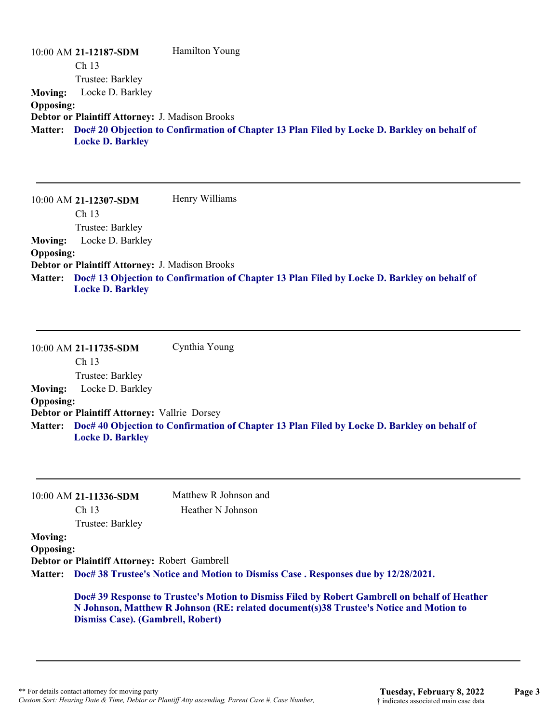|                  | 10:00 AM 21-12187-SDM                                  | Hamilton Young                                                                                      |
|------------------|--------------------------------------------------------|-----------------------------------------------------------------------------------------------------|
|                  | Ch <sub>13</sub>                                       |                                                                                                     |
|                  | Trustee: Barkley                                       |                                                                                                     |
| <b>Moving:</b>   | Locke D. Barkley                                       |                                                                                                     |
| <b>Opposing:</b> |                                                        |                                                                                                     |
|                  | <b>Debtor or Plaintiff Attorney: J. Madison Brooks</b> |                                                                                                     |
|                  | <b>Locke D. Barkley</b>                                | Matter: Doc# 20 Objection to Confirmation of Chapter 13 Plan Filed by Locke D. Barkley on behalf of |

10:00 AM **21-12307-SDM**  Ch 13 Trustee: Barkley Henry Williams **Moving:** Locke D. Barkley **Opposing: Debtor or Plaintiff Attorney:** J. Madison Brooks **Doc# 13 Objection to Confirmation of Chapter 13 Plan Filed by Locke D. Barkley on behalf of Matter: Locke D. Barkley**

10:00 AM **21-11735-SDM**  Ch 13 Trustee: Barkley Cynthia Young **Moving:** Locke D. Barkley **Opposing: Debtor or Plaintiff Attorney:** Vallrie Dorsey **Doc# 40 Objection to Confirmation of Chapter 13 Plan Filed by Locke D. Barkley on behalf of Matter: Locke D. Barkley**

|                  |                                               | Matthew R Johnson and                                                                      |
|------------------|-----------------------------------------------|--------------------------------------------------------------------------------------------|
|                  | $10:00$ AM 21-11336-SDM                       |                                                                                            |
|                  | Ch <sub>13</sub>                              | Heather N Johnson                                                                          |
|                  | Trustee: Barkley                              |                                                                                            |
| <b>Moving:</b>   |                                               |                                                                                            |
| <b>Opposing:</b> |                                               |                                                                                            |
|                  | Debtor or Plaintiff Attorney: Robert Gambrell |                                                                                            |
|                  |                                               | Matter: Doc# 38 Trustee's Notice and Motion to Dismiss Case . Responses due by 12/28/2021. |

**N Johnson, Matthew R Johnson (RE: related document(s)38 Trustee's Notice and Motion to Dismiss Case). (Gambrell, Robert)**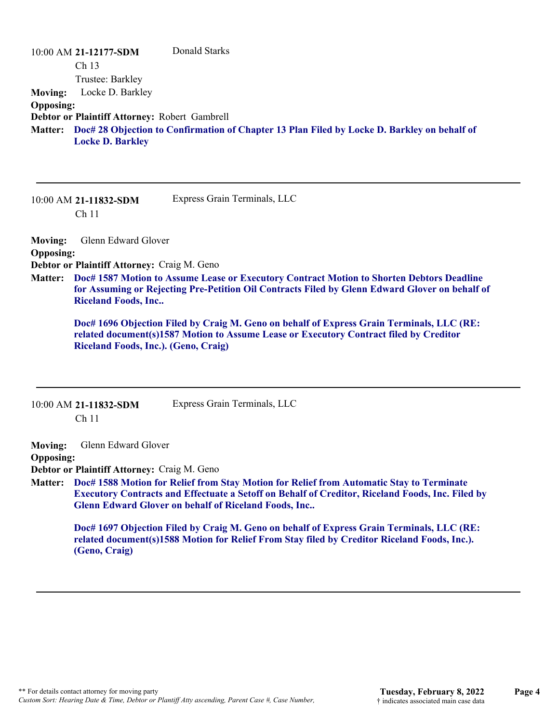|                  | 10:00 AM 21-12177-SDM                         | Donald Starks                                                                                       |
|------------------|-----------------------------------------------|-----------------------------------------------------------------------------------------------------|
|                  | Ch <sub>13</sub>                              |                                                                                                     |
|                  | Trustee: Barkley                              |                                                                                                     |
| <b>Moving:</b>   | Locke D. Barkley                              |                                                                                                     |
| <b>Opposing:</b> |                                               |                                                                                                     |
|                  | Debtor or Plaintiff Attorney: Robert Gambrell |                                                                                                     |
|                  | <b>Locke D. Barkley</b>                       | Matter: Doc# 28 Objection to Confirmation of Chapter 13 Plan Filed by Locke D. Barkley on behalf of |

10:00 AM **21-11832-SDM**  Ch 11 Express Grain Terminals, LLC

**Moving:** Glenn Edward Glover **Opposing: Debtor or Plaintiff Attorney:** Craig M. Geno

**Doc# 1587 Motion to Assume Lease or Executory Contract Motion to Shorten Debtors Deadline Matter: for Assuming or Rejecting Pre-Petition Oil Contracts Filed by Glenn Edward Glover on behalf of Riceland Foods, Inc..**

**Doc# 1696 Objection Filed by Craig M. Geno on behalf of Express Grain Terminals, LLC (RE: related document(s)1587 Motion to Assume Lease or Executory Contract filed by Creditor Riceland Foods, Inc.). (Geno, Craig)**

| 10:00 AM 21-11832-SDM | Express Grain Terminals, LLC |
|-----------------------|------------------------------|
| Ch <sub>11</sub>      |                              |

**Moving:** Glenn Edward Glover

#### **Opposing:**

**Debtor or Plaintiff Attorney:** Craig M. Geno

**Doc# 1588 Motion for Relief from Stay Motion for Relief from Automatic Stay to Terminate Matter: Executory Contracts and Effectuate a Setoff on Behalf of Creditor, Riceland Foods, Inc. Filed by Glenn Edward Glover on behalf of Riceland Foods, Inc..**

**Doc# 1697 Objection Filed by Craig M. Geno on behalf of Express Grain Terminals, LLC (RE: related document(s)1588 Motion for Relief From Stay filed by Creditor Riceland Foods, Inc.). (Geno, Craig)**